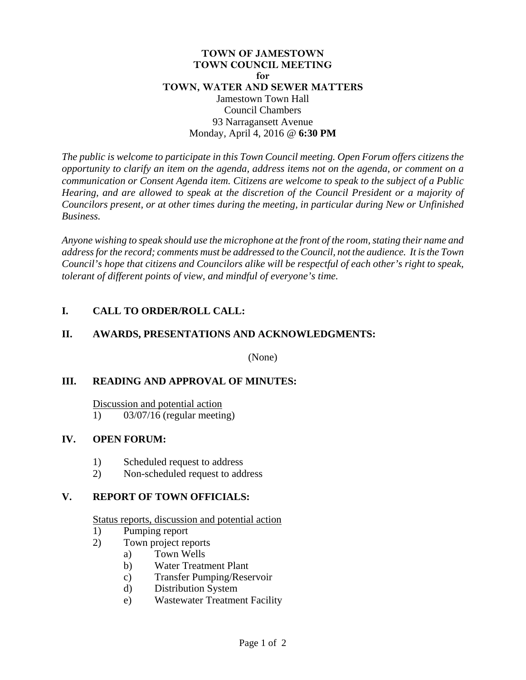#### **TOWN OF JAMESTOWN TOWN COUNCIL MEETING for TOWN, WATER AND SEWER MATTERS**  Jamestown Town Hall Council Chambers 93 Narragansett Avenue Monday, April 4, 2016 @ **6:30 PM**

*The public is welcome to participate in this Town Council meeting. Open Forum offers citizens the opportunity to clarify an item on the agenda, address items not on the agenda, or comment on a communication or Consent Agenda item. Citizens are welcome to speak to the subject of a Public Hearing, and are allowed to speak at the discretion of the Council President or a majority of Councilors present, or at other times during the meeting, in particular during New or Unfinished Business.* 

*Anyone wishing to speak should use the microphone at the front of the room, stating their name and address for the record; comments must be addressed to the Council, not the audience. It is the Town Council's hope that citizens and Councilors alike will be respectful of each other's right to speak, tolerant of different points of view, and mindful of everyone's time.* 

# **I. CALL TO ORDER/ROLL CALL:**

### **II. AWARDS, PRESENTATIONS AND ACKNOWLEDGMENTS:**

(None)

# **III. READING AND APPROVAL OF MINUTES:**

Discussion and potential action

1) 03/07/16 (regular meeting)

# **IV. OPEN FORUM:**

- 1) Scheduled request to address
- 2) Non-scheduled request to address

#### **V. REPORT OF TOWN OFFICIALS:**

#### Status reports, discussion and potential action

- 1) Pumping report
- 2) Town project reports
	- a) Town Wells
	- b) Water Treatment Plant
	- c) Transfer Pumping/Reservoir
	- d) Distribution System
	- e) Wastewater Treatment Facility